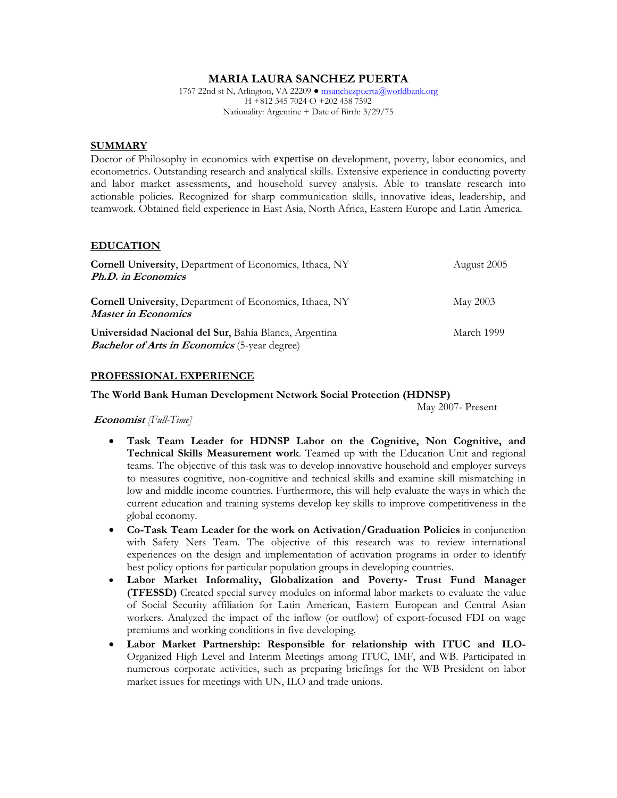## **MARIA LAURA SANCHEZ PUERTA**

1767 22nd st N, Arlington, VA 22209 ● msanchezpuerta@worldbank.org H +812 345 7024 O +202 458 7592 Nationality: Argentine + Date of Birth: 3/29/75

#### **SUMMARY**

Doctor of Philosophy in economics with expertise on development, poverty, labor economics, and econometrics. Outstanding research and analytical skills. Extensive experience in conducting poverty and labor market assessments, and household survey analysis. Able to translate research into actionable policies. Recognized for sharp communication skills, innovative ideas, leadership, and teamwork. Obtained field experience in East Asia, North Africa, Eastern Europe and Latin America.

#### **EDUCATION**

| <b>Cornell University, Department of Economics, Ithaca, NY</b>                                                | August 2005 |
|---------------------------------------------------------------------------------------------------------------|-------------|
| Ph.D. in Economics                                                                                            |             |
|                                                                                                               |             |
| <b>Cornell University, Department of Economics, Ithaca, NY</b><br><b>Master in Economics</b>                  | May 2003    |
| Universidad Nacional del Sur, Bahía Blanca, Argentina<br><b>Bachelor of Arts in Economics</b> (5-year degree) | March 1999  |

#### **PROFESSIONAL EXPERIENCE**

#### **The World Bank Human Development Network Social Protection (HDNSP)**

May 2007- Present

 **Economist** *[Full-Time]*

- **Task Team Leader for HDNSP Labor on the Cognitive, Non Cognitive, and Technical Skills Measurement work**. Teamed up with the Education Unit and regional teams. The objective of this task was to develop innovative household and employer surveys to measures cognitive, non-cognitive and technical skills and examine skill mismatching in low and middle income countries. Furthermore, this will help evaluate the ways in which the current education and training systems develop key skills to improve competitiveness in the global economy.
- **Co-Task Team Leader for the work on Activation/Graduation Policies** in conjunction with Safety Nets Team. The objective of this research was to review international experiences on the design and implementation of activation programs in order to identify best policy options for particular population groups in developing countries.
- **Labor Market Informality, Globalization and Poverty- Trust Fund Manager (TFESSD)** Created special survey modules on informal labor markets to evaluate the value of Social Security affiliation for Latin American, Eastern European and Central Asian workers. Analyzed the impact of the inflow (or outflow) of export-focused FDI on wage premiums and working conditions in five developing.
- **Labor Market Partnership: Responsible for relationship with ITUC and ILO-**Organized High Level and Interim Meetings among ITUC, IMF, and WB. Participated in numerous corporate activities, such as preparing briefings for the WB President on labor market issues for meetings with UN, ILO and trade unions.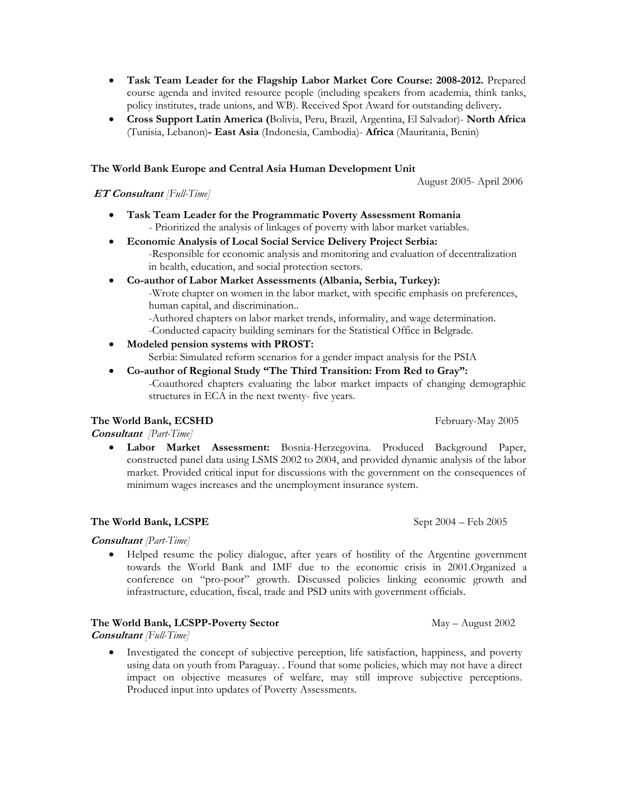- **Task Team Leader for the Flagship Labor Market Core Course: 2008-2012.** Prepared course agenda and invited resource people (including speakers from academia, think tanks, policy institutes, trade unions, and WB). Received Spot Award for outstanding delivery**.**
- **Cross Support Latin America (**Bolivia, Peru, Brazil, Argentina, El Salvador)- **North Africa**  (Tunisia, Lebanon)**- East Asia** (Indonesia, Cambodia)- **Africa** (Mauritania, Benin)

## **The World Bank Europe and Central Asia Human Development Unit**

August 2005- April 2006

## **ET Consultant** *[Full-Time]*

- **Task Team Leader for the Programmatic Poverty Assessment Romania**  - Prioritized the analysis of linkages of poverty with labor market variables.
- **Economic Analysis of Local Social Service Delivery Project Serbia:** 
	- -Responsible for economic analysis and monitoring and evaluation of decentralization in health, education, and social protection sectors.
- **Co-author of Labor Market Assessments (Albania, Serbia, Turkey):**

-Wrote chapter on women in the labor market, with specific emphasis on preferences, human capital, and discrimination..

-Authored chapters on labor market trends, informality, and wage determination.

-Conducted capacity building seminars for the Statistical Office in Belgrade.

**Modeled pension systems with PROST:**

Serbia: Simulated reform scenarios for a gender impact analysis for the PSIA

 **Co-author of Regional Study "The Third Transition: From Red to Gray":** -Coauthored chapters evaluating the labor market impacts of changing demographic structures in ECA in the next twenty- five years.

# **The World Bank, ECSHD February-May 2005**

**Consultant** *[Part-Time]* 

 **Labor Market Assessment:** Bosnia-Herzegovina. Produced Background Paper, constructed panel data using LSMS 2002 to 2004, and provided dynamic analysis of the labor market. Provided critical input for discussions with the government on the consequences of minimum wages increases and the unemployment insurance system.

# **The World Bank, LCSPE** Sept 2004 – Feb 2005

#### **Consultant** *[Part-Time]*

 Helped resume the policy dialogue, after years of hostility of the Argentine government towards the World Bank and IMF due to the economic crisis in 2001.Organized a conference on "pro-poor" growth. Discussed policies linking economic growth and infrastructure, education, fiscal, trade and PSD units with government officials.

#### **The World Bank, LCSPP-Poverty Sector** May – August 2002

**Consultant** *[Full-Time]* 

 Investigated the concept of subjective perception, life satisfaction, happiness, and poverty using data on youth from Paraguay. . Found that some policies, which may not have a direct impact on objective measures of welfare, may still improve subjective perceptions. Produced input into updates of Poverty Assessments.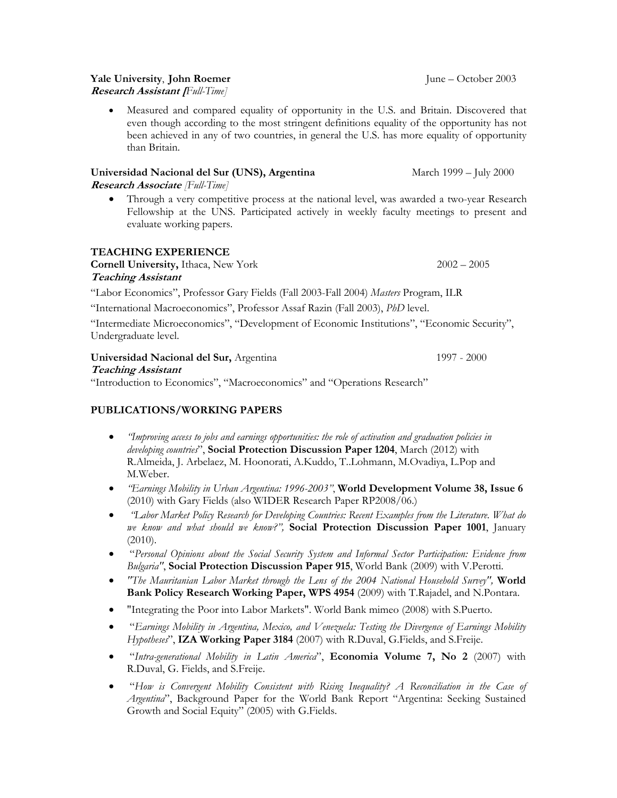# **Yale University, John Roemer June – October 2003**

**Research Assistant [***Full-Time]*

 Measured and compared equality of opportunity in the U.S. and Britain. Discovered that even though according to the most stringent definitions equality of the opportunity has not been achieved in any of two countries, in general the U.S. has more equality of opportunity than Britain.

# **Universidad Nacional del Sur (UNS), Argentina** March 1999 – July 2000

# **Research Associate** *[Full-Time]*

 Through a very competitive process at the national level, was awarded a two-year Research Fellowship at the UNS. Participated actively in weekly faculty meetings to present and evaluate working papers.

# **TEACHING EXPERIENCE**

**Cornell University,** Ithaca, New York 2002 – 2005

# **Teaching Assistant**

"Labor Economics", Professor Gary Fields (Fall 2003-Fall 2004) *Masters* Program, ILR

"International Macroeconomics", Professor Assaf Razin (Fall 2003), *PhD* level.

"Intermediate Microeconomics", "Development of Economic Institutions", "Economic Security", Undergraduate level.

# **Universidad Nacional del Sur,** Argentina 1997 - 2000

**Teaching Assistant** 

"Introduction to Economics", "Macroeconomics" and "Operations Research"

# **PUBLICATIONS/WORKING PAPERS**

- *"Improving access to jobs and earnings opportunities: the role of activation and graduation policies in developing countries*", **Social Protection Discussion Paper 1204**, March (2012) with R.Almeida, J. Arbelaez, M. Hoonorati, A.Kuddo, T..Lohmann, M.Ovadiya, L.Pop and M.Weber.
- *"Earnings Mobility in Urban Argentina: 1996-2003"*, **World Development Volume 38, Issue 6** (2010) with Gary Fields (also WIDER Research Paper RP2008/06.)
- *"Labor Market Policy Research for Developing Countries: Recent Examples from the Literature. What do we know and what should we know?",* **Social Protection Discussion Paper 1001**, January (2010).
- "*Personal Opinions about the Social Security System and Informal Sector Participation: Evidence from Bulgaria"*, **Social Protection Discussion Paper 915**, World Bank (2009) with V.Perotti.
- *"The Mauritanian Labor Market through the Lens of the 2004 National Household Survey",* **World Bank Policy Research Working Paper, WPS 4954** (2009) with T.Rajadel, and N.Pontara.
- "Integrating the Poor into Labor Markets". World Bank mimeo (2008) with S.Puerto.
- "*Earnings Mobility in Argentina, Mexico, and Venezuela: Testing the Divergence of Earnings Mobility Hypotheses*", **IZA Working Paper 3184** (2007) with R.Duval, G.Fields, and S.Freije.
- "*Intra-generational Mobility in Latin America*", **Economia Volume 7, No 2** (2007) with R.Duval, G. Fields, and S.Freije.
- "*How is Convergent Mobility Consistent with Rising Inequality? A Reconciliation in the Case of Argentina*", Background Paper for the World Bank Report "Argentina: Seeking Sustained Growth and Social Equity" (2005) with G.Fields.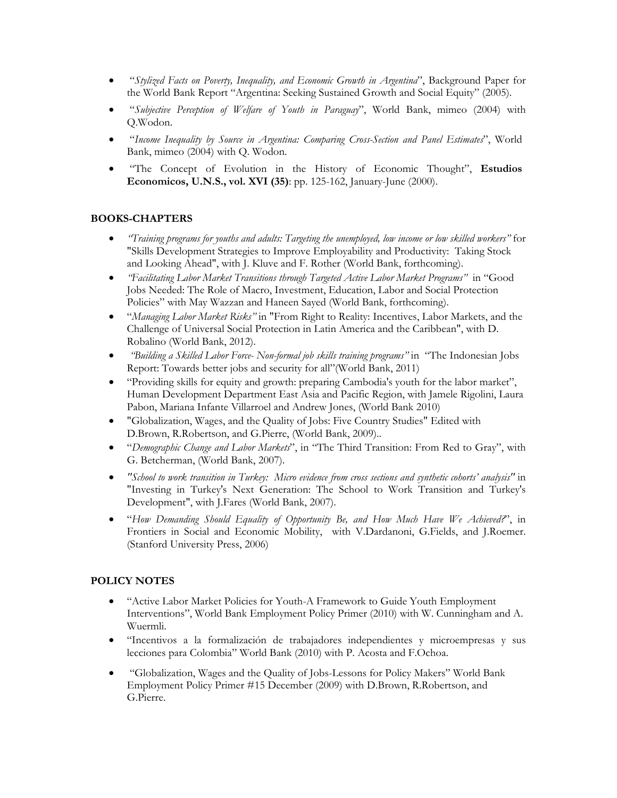- "*Stylized Facts on Poverty, Inequality, and Economic Growth in Argentina*", Background Paper for the World Bank Report "Argentina: Seeking Sustained Growth and Social Equity" (2005).
- "*Subjective Perception of Welfare of Youth in Paraguay*", World Bank, mimeo (2004) with Q.Wodon.
- "*Income Inequality by Source in Argentina: Comparing Cross-Section and Panel Estimates*", World Bank, mimeo (2004) with Q. Wodon.
- "The Concept of Evolution in the History of Economic Thought", **Estudios Economicos, U.N.S., vol. XVI (35)**: pp. 125-162, January-June (2000).

# **BOOKS-CHAPTERS**

- *"Training programs for youths and adults: Targeting the unemployed, low income or low skilled workers"* for "Skills Development Strategies to Improve Employability and Productivity: Taking Stock and Looking Ahead", with J. Kluve and F. Rother (World Bank, forthcoming).
- *"Facilitating Labor Market Transitions through Targeted Active Labor Market Programs"* in "Good Jobs Needed: The Role of Macro, Investment, Education, Labor and Social Protection Policies" with May Wazzan and Haneen Sayed (World Bank, forthcoming).
- "*Managing Labor Market Risks"* in "From Right to Reality: Incentives, Labor Markets, and the Challenge of Universal Social Protection in Latin America and the Caribbean", with D. Robalino (World Bank, 2012).
- *"Building a Skilled Labor Force- Non-formal job skills training programs"* in "The Indonesian Jobs Report: Towards better jobs and security for all"(World Bank, 2011)
- "Providing skills for equity and growth: preparing Cambodia's youth for the labor market", Human Development Department East Asia and Pacific Region, with Jamele Rigolini, Laura Pabon, Mariana Infante Villarroel and Andrew Jones, (World Bank 2010)
- "Globalization, Wages, and the Quality of Jobs: Five Country Studies" Edited with D.Brown, R.Robertson, and G.Pierre, (World Bank, 2009)..
- "*Demographic Change and Labor Markets*", in "The Third Transition: From Red to Gray", with G. Betcherman, (World Bank, 2007).
- *"School to work transition in Turkey: Micro evidence from cross sections and synthetic cohorts' analysis"* in "Investing in Turkey's Next Generation: The School to Work Transition and Turkey's Development", with J.Fares (World Bank, 2007).
- "*How Demanding Should Equality of Opportunity Be, and How Much Have We Achieved?*", in Frontiers in Social and Economic Mobility, with V.Dardanoni, G.Fields, and J.Roemer. (Stanford University Press, 2006)

# **POLICY NOTES**

- "Active Labor Market Policies for Youth-A Framework to Guide Youth Employment Interventions", World Bank Employment Policy Primer (2010) with W. Cunningham and A. Wuermli.
- "Incentivos a la formalización de trabajadores independientes y microempresas y sus lecciones para Colombia" World Bank (2010) with P. Acosta and F.Ochoa.
- "Globalization, Wages and the Quality of Jobs-Lessons for Policy Makers" World Bank Employment Policy Primer #15 December (2009) with D.Brown, R.Robertson, and G.Pierre.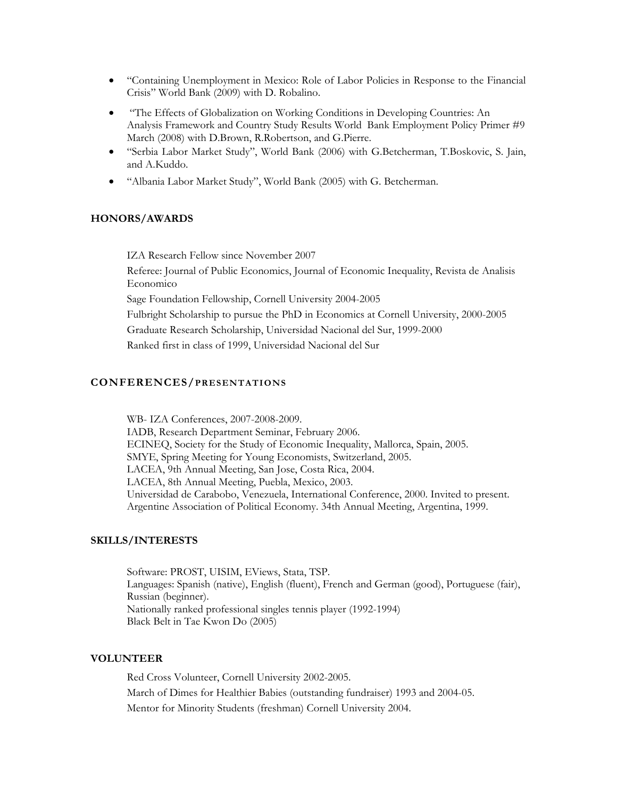- "Containing Unemployment in Mexico: Role of Labor Policies in Response to the Financial Crisis" World Bank (2009) with D. Robalino.
- "The Effects of Globalization on Working Conditions in Developing Countries: An Analysis Framework and Country Study Results World Bank Employment Policy Primer #9 March (2008) with D.Brown, R.Robertson, and G.Pierre.
- "Serbia Labor Market Study", World Bank (2006) with G.Betcherman, T.Boskovic, S. Jain, and A.Kuddo.
- "Albania Labor Market Study", World Bank (2005) with G. Betcherman.

#### **HONORS/AWARDS**

IZA Research Fellow since November 2007

Referee: Journal of Public Economics, Journal of Economic Inequality, Revista de Analisis Economico

Sage Foundation Fellowship, Cornell University 2004-2005

Fulbright Scholarship to pursue the PhD in Economics at Cornell University, 2000-2005

Graduate Research Scholarship, Universidad Nacional del Sur, 1999-2000

Ranked first in class of 1999, Universidad Nacional del Sur

## **CONFERENCES/PRESENTATIONS**

WB- IZA Conferences, 2007-2008-2009. IADB, Research Department Seminar, February 2006. ECINEQ, Society for the Study of Economic Inequality, Mallorca, Spain, 2005. SMYE, Spring Meeting for Young Economists, Switzerland, 2005. LACEA, 9th Annual Meeting, San Jose, Costa Rica, 2004. LACEA, 8th Annual Meeting, Puebla, Mexico, 2003. Universidad de Carabobo, Venezuela, International Conference, 2000. Invited to present. Argentine Association of Political Economy. 34th Annual Meeting, Argentina, 1999.

## **SKILLS/INTERESTS**

Software: PROST, UISIM, EViews, Stata, TSP. Languages: Spanish (native), English (fluent), French and German (good), Portuguese (fair), Russian (beginner). Nationally ranked professional singles tennis player (1992-1994) Black Belt in Tae Kwon Do (2005)

#### **VOLUNTEER**

Red Cross Volunteer, Cornell University 2002-2005. March of Dimes for Healthier Babies (outstanding fundraiser) 1993 and 2004-05. Mentor for Minority Students (freshman) Cornell University 2004.